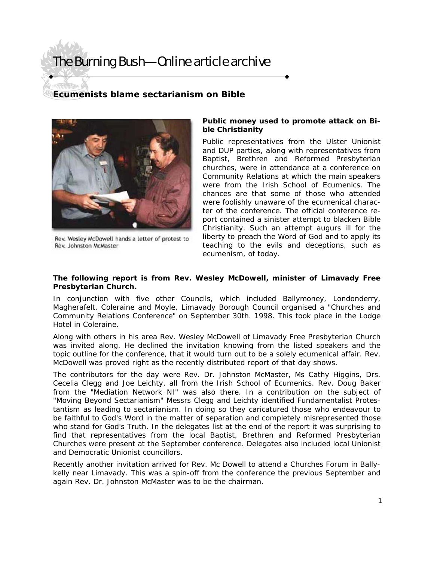## The Burning Bush—Online article archive

### **Ecumenists blame sectarianism on Bible**



Rev. Wesley McDowell hands a letter of protest to Rev. Johnston McMaster

#### *Public money used to promote attack on Bible Christianity*

Public representatives from the Ulster Unionist and DUP parties, along with representatives from Baptist, Brethren and Reformed Presbyterian churches, were in attendance at a conference on Community Relations at which the main speakers were from the Irish School of Ecumenics. The chances are that some of those who attended were foolishly unaware of the ecumenical character of the conference. The official conference report contained a sinister attempt to blacken Bible Christianity. Such an attempt augurs ill for the liberty to preach the Word of God and to apply its teaching to the evils and deceptions, such as ecumenism, of today.

#### **The following report is from Rev. Wesley McDowell, minister of Limavady Free Presbyterian Church.**

In conjunction with five other Councils, which included Ballymoney, Londonderry, Magherafelt, Coleraine and Moyle, Limavady Borough Council organised a "Churches and Community Relations Conference" on September 30th. 1998. This took place in the Lodge Hotel in Coleraine.

Along with others in his area Rev. Wesley McDowell of Limavady Free Presbyterian Church was invited along. He declined the invitation knowing from the listed speakers and the topic outline for the conference, that it would turn out to be a solely ecumenical affair. Rev. McDowell was proved right as the recently distributed report of that day shows.

The contributors for the day were Rev. Dr. Johnston McMaster, Ms Cathy Higgins, Drs. Cecelia Clegg and Joe Leichty, all from the Irish School of Ecumenics. Rev. Doug Baker from the "Mediation Network NI" was also there. In a contribution on the subject of "Moving Beyond Sectarianism" Messrs Clegg and Leichty identified Fundamentalist Protestantism as leading to sectarianism. In doing so they caricatured those who endeavour to be faithful to God's Word in the matter of separation and completely misrepresented those who stand for God's Truth. In the delegates list at the end of the report it was surprising to find that representatives from the local Baptist, Brethren and Reformed Presbyterian Churches were present at the September conference. Delegates also included local Unionist and Democratic Unionist councillors.

Recently another invitation arrived for Rev. Mc Dowell to attend a Churches Forum in Ballykelly near Limavady. This was a spin-off from the conference the previous September and again Rev. Dr. Johnston McMaster was to be the chairman.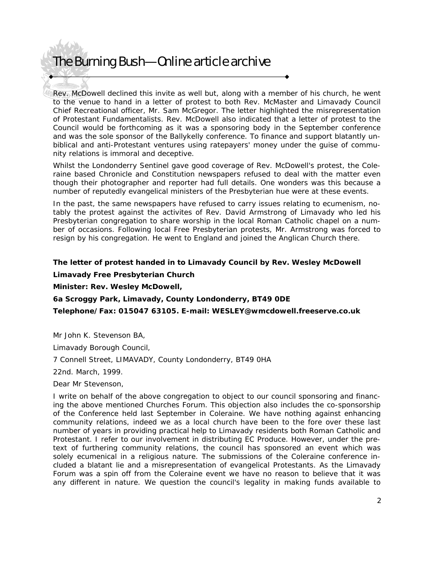### The Burning Bush—Online article archive

Rev. McDowell declined this invite as well but, along with a member of his church, he went to the venue to hand in a letter of protest to both Rev. McMaster and Limavady Council Chief Recreational officer, Mr. Sam McGregor. The letter highlighted the misrepresentation of Protestant Fundamentalists. Rev. McDowell also indicated that a letter of protest to the Council would be forthcoming as it was a sponsoring body in the September conference and was the sole sponsor of the Ballykelly conference. To finance and support blatantly unbiblical and anti-Protestant ventures using ratepayers' money under the guise of community relations is immoral and deceptive.

Whilst the Londonderry Sentinel gave good coverage of Rev. McDowell's protest, the Coleraine based Chronicle and Constitution newspapers refused to deal with the matter even though their photographer and reporter had full details. One wonders was this because a number of reputedly evangelical ministers of the Presbyterian hue were at these events.

In the past, the same newspapers have refused to carry issues relating to ecumenism, notably the protest against the activites of Rev. David Armstrong of Limavady who led his Presbyterian congregation to share worship in the local Roman Catholic chapel on a number of occasions. Following local Free Presbyterian protests, Mr. Armstrong was forced to resign by his congregation. He went to England and joined the Anglican Church there.

#### **The letter of protest handed in to Limavady Council by Rev. Wesley McDowell**

*Limavady Free Presbyterian Church Minister: Rev. Wesley McDowell, 6a Scroggy Park, Limavady, County Londonderry, BT49 0DE Telephone/Fax: 015047 63105. E-mail: WESLEY@wmcdowell.freeserve.co.uk* 

Mr John K. Stevenson BA,

Limavady Borough Council,

7 Connell Street, LIMAVADY, County Londonderry, BT49 0HA

22nd. March, 1999.

Dear Mr Stevenson,

I write on behalf of the above congregation to object to our council sponsoring and financing the above mentioned Churches Forum. This objection also includes the co-sponsorship of the Conference held last September in Coleraine. We have nothing against enhancing community relations, indeed we as a local church have been to the fore over these last number of years in providing practical help to Limavady residents both Roman Catholic and Protestant. I refer to our involvement in distributing EC Produce. However, under the pretext of furthering community relations, the council has sponsored an event which was solely ecumenical in a religious nature. The submissions of the Coleraine conference included a blatant lie and a misrepresentation of evangelical Protestants. As the Limavady Forum was a spin off from the Coleraine event we have no reason to believe that it was any different in nature. We question the council's legality in making funds available to